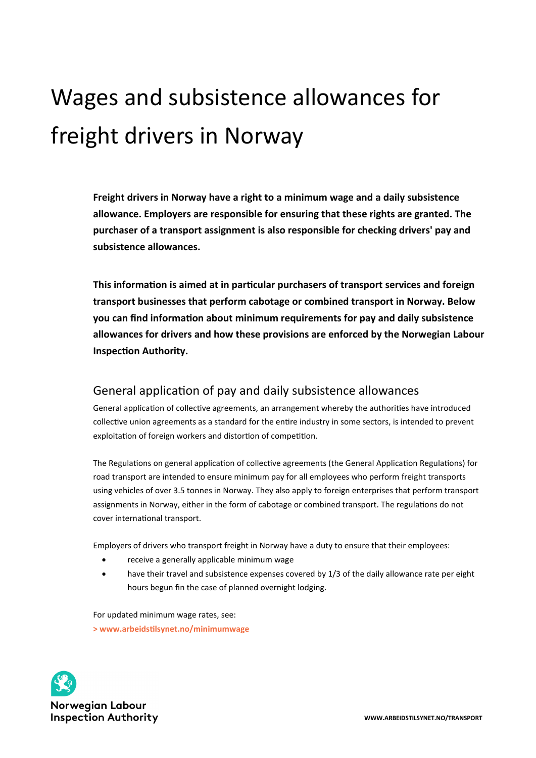# Wages and subsistence allowances for freight drivers in Norway

**Freight drivers in Norway have a right to a minimum wage and a daily subsistence allowance. Employers are responsible for ensuring that these rights are granted. The purchaser of a transport assignment is also responsible for checking drivers' pay and subsistence allowances.**

**This information is aimed at in particular purchasers of transport services and foreign transport businesses that perform cabotage or combined transport in Norway. Below you can find information about minimum requirements for pay and daily subsistence allowances for drivers and how these provisions are enforced by the Norwegian Labour Inspection Authority.** 

## General application of pay and daily subsistence allowances

General application of collective agreements, an arrangement whereby the authorities have introduced collective union agreements as a standard for the entire industry in some sectors, is intended to prevent exploitation of foreign workers and distortion of competition.

The Regulations on general application of collective agreements (the General Application Regulations) for road transport are intended to ensure minimum pay for all employees who perform freight transports using vehicles of over 3.5 tonnes in Norway. They also apply to foreign enterprises that perform transport assignments in Norway, either in the form of cabotage or combined transport. The regulations do not cover international transport.

Employers of drivers who transport freight in Norway have a duty to ensure that their employees:

- receive a generally applicable minimum wage
- have their travel and subsistence expenses covered by 1/3 of the daily allowance rate per eight hours begun fin the case of planned overnight lodging.

For updated minimum wage rates, see: **[> www.arbeidstilsynet.no/minimumwage](https://www.arbeidstilsynet.no/minimumwage)** 

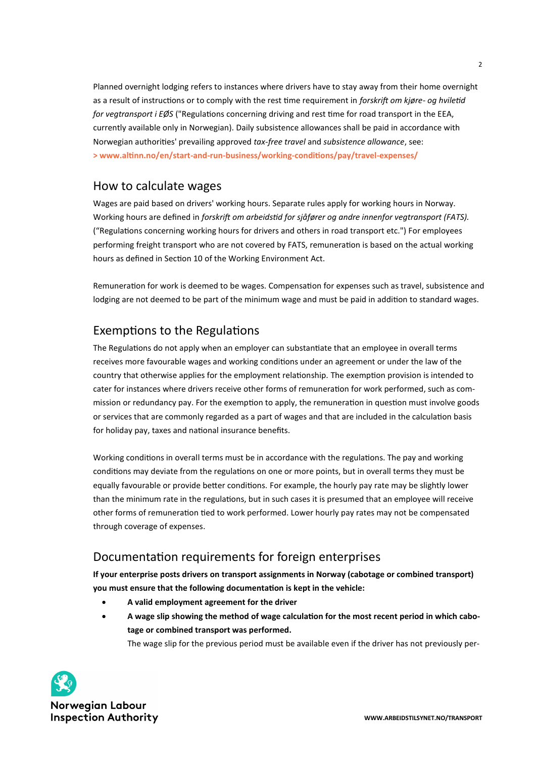Planned overnight lodging refers to instances where drivers have to stay away from their home overnight as a result of instructions or to comply with the rest time requirement in *forskrift om kjøre- og hviletid for vegtransport i EØS* ("Regulations concerning driving and rest time for road transport in the EEA, currently available only in Norwegian). Daily subsistence allowances shall be paid in accordance with Norwegian authorities' prevailing approved *tax-free travel* and *subsistence allowance*, see: **[> www.altinn.no/en/start](https://www.altinn.no/en/start-and-run-business/working-conditions/pay/travel-expenses/)-and-run-business/working-conditions/pay/travel-expenses/**

### How to calculate wages

Wages are paid based on drivers' working hours. Separate rules apply for working hours in Norway. Working hours are defined in *forskrift om arbeidstid for sjåfører og andre innenfor vegtransport (FATS).* ("Regulations concerning working hours for drivers and others in road transport etc.") For employees performing freight transport who are not covered by FATS, remuneration is based on the actual working hours as defined in Section 10 of the Working Environment Act.

Remuneration for work is deemed to be wages. Compensation for expenses such as travel, subsistence and lodging are not deemed to be part of the minimum wage and must be paid in addition to standard wages.

# Exemptions to the Regulations

The Regulations do not apply when an employer can substantiate that an employee in overall terms receives more favourable wages and working conditions under an agreement or under the law of the country that otherwise applies for the employment relationship. The exemption provision is intended to cater for instances where drivers receive other forms of remuneration for work performed, such as commission or redundancy pay. For the exemption to apply, the remuneration in question must involve goods or services that are commonly regarded as a part of wages and that are included in the calculation basis for holiday pay, taxes and national insurance benefits.

Working conditions in overall terms must be in accordance with the regulations. The pay and working conditions may deviate from the regulations on one or more points, but in overall terms they must be equally favourable or provide better conditions. For example, the hourly pay rate may be slightly lower than the minimum rate in the regulations, but in such cases it is presumed that an employee will receive other forms of remuneration tied to work performed. Lower hourly pay rates may not be compensated through coverage of expenses.

# Documentation requirements for foreign enterprises

**If your enterprise posts drivers on transport assignments in Norway (cabotage or combined transport) you must ensure that the following documentation is kept in the vehicle:**

- **A valid employment agreement for the driver**
- **A wage slip showing the method of wage calculation for the most recent period in which cabotage or combined transport was performed.**

The wage slip for the previous period must be available even if the driver has not previously per-

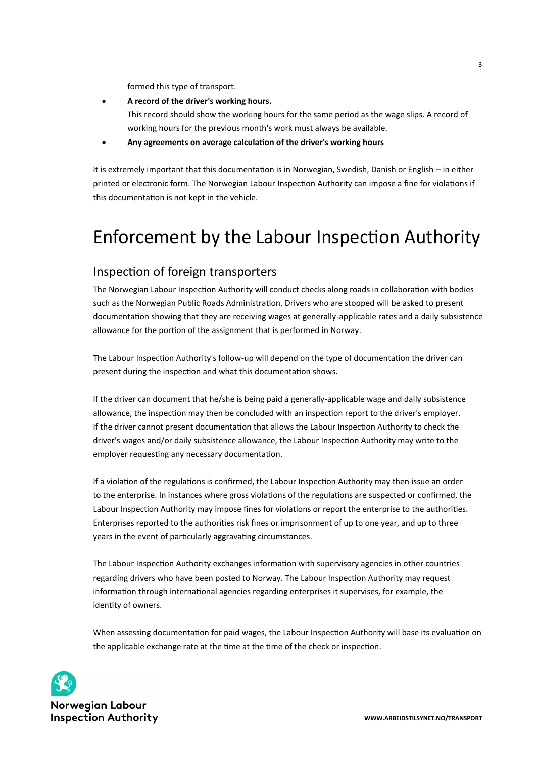formed this type of transport.

- **A record of the driver's working hours.** This record should show the working hours for the same period as the wage slips. A record of working hours for the previous month's work must always be available.
- **Any agreements on average calculation of the driver's working hours**

It is extremely important that this documentation is in Norwegian, Swedish, Danish or English – in either printed or electronic form. The Norwegian Labour Inspection Authority can impose a fine for violations if this documentation is not kept in the vehicle.

# Enforcement by the Labour Inspection Authority

# Inspection of foreign transporters

The Norwegian Labour Inspection Authority will conduct checks along roads in collaboration with bodies such as the Norwegian Public Roads Administration. Drivers who are stopped will be asked to present documentation showing that they are receiving wages at generally-applicable rates and a daily subsistence allowance for the portion of the assignment that is performed in Norway.

The Labour Inspection Authority's follow-up will depend on the type of documentation the driver can present during the inspection and what this documentation shows.

If the driver can document that he/she is being paid a generally-applicable wage and daily subsistence allowance, the inspection may then be concluded with an inspection report to the driver's employer. If the driver cannot present documentation that allows the Labour Inspection Authority to check the driver's wages and/or daily subsistence allowance, the Labour Inspection Authority may write to the employer requesting any necessary documentation.

If a violation of the regulations is confirmed, the Labour Inspection Authority may then issue an order to the enterprise. In instances where gross violations of the regulations are suspected or confirmed, the Labour Inspection Authority may impose fines for violations or report the enterprise to the authorities. Enterprises reported to the authorities risk fines or imprisonment of up to one year, and up to three years in the event of particularly aggravating circumstances.

The Labour Inspection Authority exchanges information with supervisory agencies in other countries regarding drivers who have been posted to Norway. The Labour Inspection Authority may request information through international agencies regarding enterprises it supervises, for example, the identity of owners.

When assessing documentation for paid wages, the Labour Inspection Authority will base its evaluation on the applicable exchange rate at the time at the time of the check or inspection.



**Norwegian Labour Inspection Authority**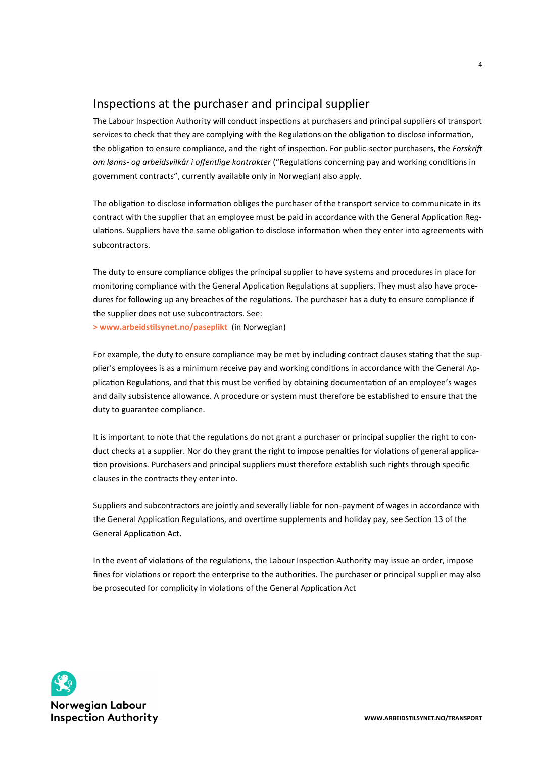## Inspections at the purchaser and principal supplier

The Labour Inspection Authority will conduct inspections at purchasers and principal suppliers of transport services to check that they are complying with the Regulations on the obligation to disclose information, the obligation to ensure compliance, and the right of inspection. For public-sector purchasers, the *Forskrift om lønns- og arbeidsvilkår i offentlige kontrakter* ("Regulations concerning pay and working conditions in government contracts", currently available only in Norwegian) also apply.

The obligation to disclose information obliges the purchaser of the transport service to communicate in its contract with the supplier that an employee must be paid in accordance with the General Application Regulations. Suppliers have the same obligation to disclose information when they enter into agreements with subcontractors.

The duty to ensure compliance obliges the principal supplier to have systems and procedures in place for monitoring compliance with the General Application Regulations at suppliers. They must also have procedures for following up any breaches of the regulations. The purchaser has a duty to ensure compliance if the supplier does not use subcontractors. See:

**[> www.arbeidstilsynet.no/paseplikt](https://www.arbeidstilsynet.no/paseplikt)** (in Norwegian)

For example, the duty to ensure compliance may be met by including contract clauses stating that the supplier's employees is as a minimum receive pay and working conditions in accordance with the General Application Regulations, and that this must be verified by obtaining documentation of an employee's wages and daily subsistence allowance. A procedure or system must therefore be established to ensure that the duty to guarantee compliance.

It is important to note that the regulations do not grant a purchaser or principal supplier the right to conduct checks at a supplier. Nor do they grant the right to impose penalties for violations of general application provisions. Purchasers and principal suppliers must therefore establish such rights through specific clauses in the contracts they enter into.

Suppliers and subcontractors are jointly and severally liable for non-payment of wages in accordance with the General Application Regulations, and overtime supplements and holiday pay, see Section 13 of the General Application Act.

In the event of violations of the regulations, the Labour Inspection Authority may issue an order, impose fines for violations or report the enterprise to the authorities. The purchaser or principal supplier may also be prosecuted for complicity in violations of the General Application Act